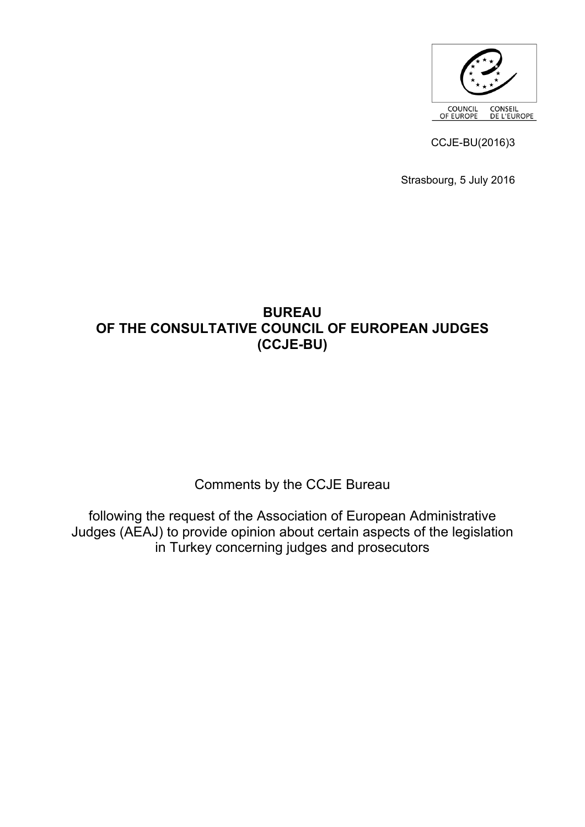

CCJE-BU(2016)3

Strasbourg, 5 July 2016

## **BUREAU OF THE CONSULTATIVE COUNCIL OF EUROPEAN JUDGES (CCJE-BU)**

Comments by the CCJE Bureau

following the request of the Association of European Administrative Judges (AEAJ) to provide opinion about certain aspects of the legislation in Turkey concerning judges and prosecutors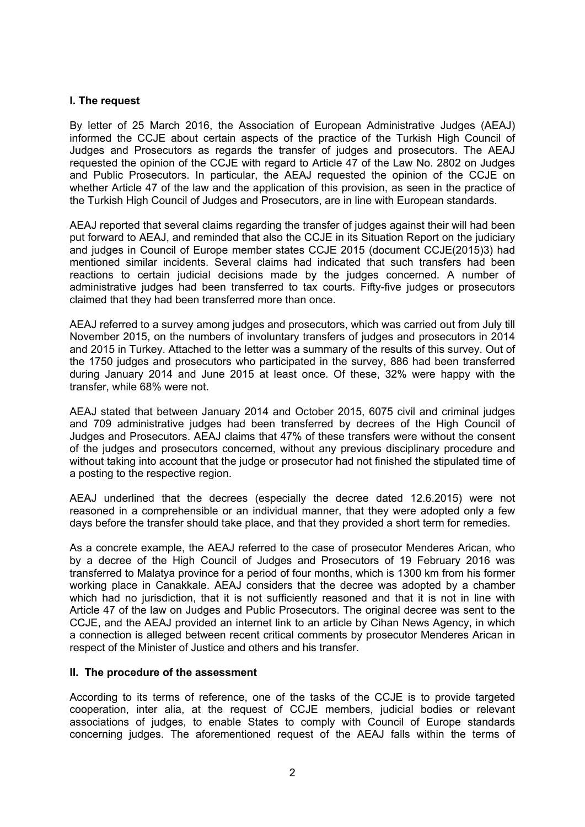#### **I. The request**

By letter of 25 March 2016, the Association of European Administrative Judges (AEAJ) informed the CCJE about certain aspects of the practice of the Turkish High Council of Judges and Prosecutors as regards the transfer of judges and prosecutors. The AEAJ requested the opinion of the CCJE with regard to Article 47 of the Law No. 2802 on Judges and Public Prosecutors. In particular, the AEAJ requested the opinion of the CCJE on whether Article 47 of the law and the application of this provision, as seen in the practice of the Turkish High Council of Judges and Prosecutors, are in line with European standards.

AEAJ reported that several claims regarding the transfer of judges against their will had been put forward to AEAJ, and reminded that also the CCJE in its Situation Report on the judiciary and judges in Council of Europe member states CCJE 2015 (document CCJE(2015)3) had mentioned similar incidents. Several claims had indicated that such transfers had been reactions to certain judicial decisions made by the judges concerned. A number of administrative judges had been transferred to tax courts. Fifty-five judges or prosecutors claimed that they had been transferred more than once.

AEAJ referred to a survey among judges and prosecutors, which was carried out from July till November 2015, on the numbers of involuntary transfers of judges and prosecutors in 2014 and 2015 in Turkey. Attached to the letter was a summary of the results of this survey. Out of the 1750 judges and prosecutors who participated in the survey, 886 had been transferred during January 2014 and June 2015 at least once. Of these, 32% were happy with the transfer, while 68% were not.

AEAJ stated that between January 2014 and October 2015, 6075 civil and criminal judges and 709 administrative judges had been transferred by decrees of the High Council of Judges and Prosecutors. AEAJ claims that 47% of these transfers were without the consent of the judges and prosecutors concerned, without any previous disciplinary procedure and without taking into account that the judge or prosecutor had not finished the stipulated time of a posting to the respective region.

AEAJ underlined that the decrees (especially the decree dated 12.6.2015) were not reasoned in a comprehensible or an individual manner, that they were adopted only a few days before the transfer should take place, and that they provided a short term for remedies.

As a concrete example, the AEAJ referred to the case of prosecutor Menderes Arican, who by a decree of the High Council of Judges and Prosecutors of 19 February 2016 was transferred to Malatya province for a period of four months, which is 1300 km from his former working place in Canakkale. AEAJ considers that the decree was adopted by a chamber which had no jurisdiction, that it is not sufficiently reasoned and that it is not in line with Article 47 of the law on Judges and Public Prosecutors. The original decree was sent to the CCJE, and the AEAJ provided an internet link to an article by Cihan News Agency, in which a connection is alleged between recent critical comments by prosecutor Menderes Arican in respect of the Minister of Justice and others and his transfer.

#### **II. The procedure of the assessment**

According to its terms of reference, one of the tasks of the CCJE is to provide targeted cooperation, inter alia, at the request of CCJE members, judicial bodies or relevant associations of judges, to enable States to comply with Council of Europe standards concerning judges. The aforementioned request of the AEAJ falls within the terms of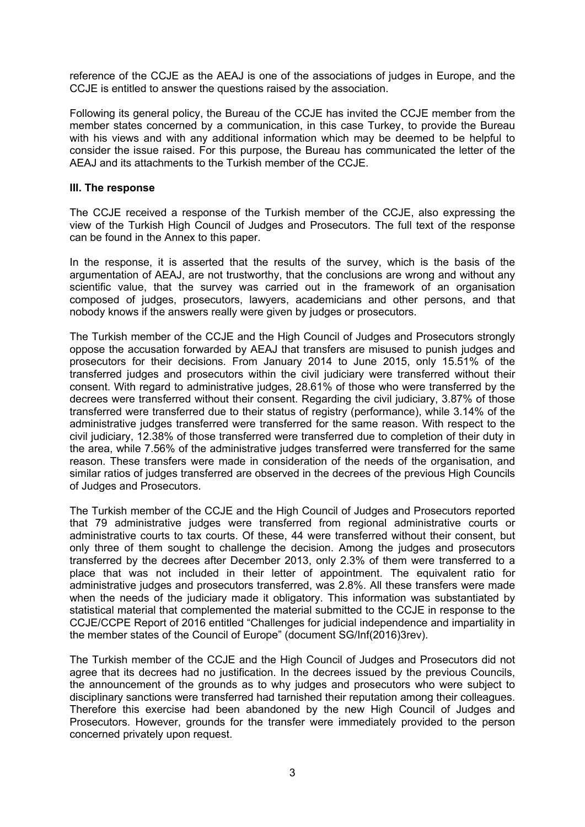reference of the CCJE as the AEAJ is one of the associations of judges in Europe, and the CCJE is entitled to answer the questions raised by the association.

Following its general policy, the Bureau of the CCJE has invited the CCJE member from the member states concerned by a communication, in this case Turkey, to provide the Bureau with his views and with any additional information which may be deemed to be helpful to consider the issue raised. For this purpose, the Bureau has communicated the letter of the AEAJ and its attachments to the Turkish member of the CCJE.

#### **III. The response**

The CCJE received a response of the Turkish member of the CCJE, also expressing the view of the Turkish High Council of Judges and Prosecutors. The full text of the response can be found in the Annex to this paper.

In the response, it is asserted that the results of the survey, which is the basis of the argumentation of AEAJ, are not trustworthy, that the conclusions are wrong and without any scientific value, that the survey was carried out in the framework of an organisation composed of judges, prosecutors, lawyers, academicians and other persons, and that nobody knows if the answers really were given by judges or prosecutors.

The Turkish member of the CCJE and the High Council of Judges and Prosecutors strongly oppose the accusation forwarded by AEAJ that transfers are misused to punish judges and prosecutors for their decisions. From January 2014 to June 2015, only 15.51% of the transferred judges and prosecutors within the civil judiciary were transferred without their consent. With regard to administrative judges, 28.61% of those who were transferred by the decrees were transferred without their consent. Regarding the civil judiciary, 3.87% of those transferred were transferred due to their status of registry (performance), while 3.14% of the administrative judges transferred were transferred for the same reason. With respect to the civil judiciary, 12.38% of those transferred were transferred due to completion of their duty in the area, while 7.56% of the administrative judges transferred were transferred for the same reason. These transfers were made in consideration of the needs of the organisation, and similar ratios of judges transferred are observed in the decrees of the previous High Councils of Judges and Prosecutors.

The Turkish member of the CCJE and the High Council of Judges and Prosecutors reported that 79 administrative judges were transferred from regional administrative courts or administrative courts to tax courts. Of these, 44 were transferred without their consent, but only three of them sought to challenge the decision. Among the judges and prosecutors transferred by the decrees after December 2013, only 2.3% of them were transferred to a place that was not included in their letter of appointment. The equivalent ratio for administrative judges and prosecutors transferred, was 2.8%. All these transfers were made when the needs of the judiciary made it obligatory. This information was substantiated by statistical material that complemented the material submitted to the CCJE in response to the CCJE/CCPE Report of 2016 entitled "Challenges for judicial independence and impartiality in the member states of the Council of Europe" (document SG/Inf(2016)3rev).

The Turkish member of the CCJE and the High Council of Judges and Prosecutors did not agree that its decrees had no justification. In the decrees issued by the previous Councils, the announcement of the grounds as to why judges and prosecutors who were subject to disciplinary sanctions were transferred had tarnished their reputation among their colleagues. Therefore this exercise had been abandoned by the new High Council of Judges and Prosecutors. However, grounds for the transfer were immediately provided to the person concerned privately upon request.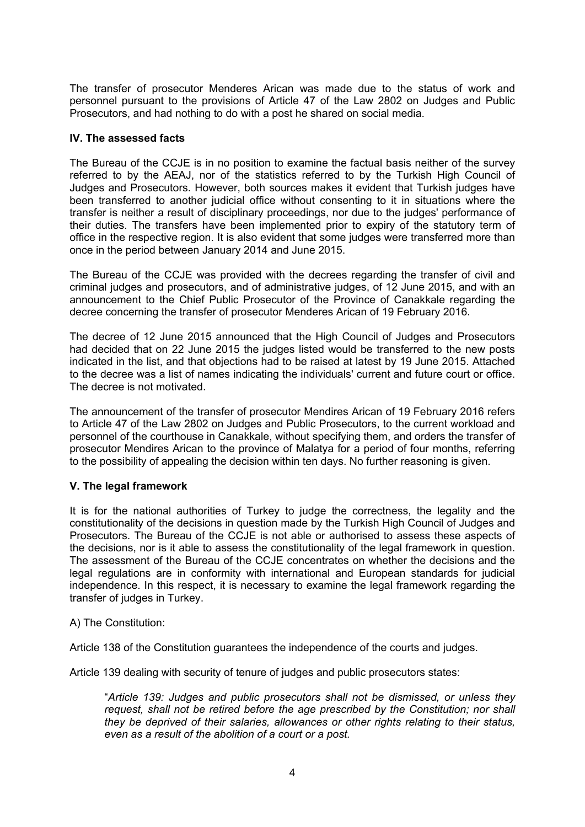The transfer of prosecutor Menderes Arican was made due to the status of work and personnel pursuant to the provisions of Article 47 of the Law 2802 on Judges and Public Prosecutors, and had nothing to do with a post he shared on social media.

## **IV. The assessed facts**

The Bureau of the CCJE is in no position to examine the factual basis neither of the survey referred to by the AEAJ, nor of the statistics referred to by the Turkish High Council of Judges and Prosecutors. However, both sources makes it evident that Turkish judges have been transferred to another judicial office without consenting to it in situations where the transfer is neither a result of disciplinary proceedings, nor due to the judges' performance of their duties. The transfers have been implemented prior to expiry of the statutory term of office in the respective region. It is also evident that some judges were transferred more than once in the period between January 2014 and June 2015.

The Bureau of the CCJE was provided with the decrees regarding the transfer of civil and criminal judges and prosecutors, and of administrative judges, of 12 June 2015, and with an announcement to the Chief Public Prosecutor of the Province of Canakkale regarding the decree concerning the transfer of prosecutor Menderes Arican of 19 February 2016.

The decree of 12 June 2015 announced that the High Council of Judges and Prosecutors had decided that on 22 June 2015 the judges listed would be transferred to the new posts indicated in the list, and that objections had to be raised at latest by 19 June 2015. Attached to the decree was a list of names indicating the individuals' current and future court or office. The decree is not motivated.

The announcement of the transfer of prosecutor Mendires Arican of 19 February 2016 refers to Article 47 of the Law 2802 on Judges and Public Prosecutors, to the current workload and personnel of the courthouse in Canakkale, without specifying them, and orders the transfer of prosecutor Mendires Arican to the province of Malatya for a period of four months, referring to the possibility of appealing the decision within ten days. No further reasoning is given.

## **V. The legal framework**

It is for the national authorities of Turkey to judge the correctness, the legality and the constitutionality of the decisions in question made by the Turkish High Council of Judges and Prosecutors. The Bureau of the CCJE is not able or authorised to assess these aspects of the decisions, nor is it able to assess the constitutionality of the legal framework in question. The assessment of the Bureau of the CCJE concentrates on whether the decisions and the legal regulations are in conformity with international and European standards for judicial independence. In this respect, it is necessary to examine the legal framework regarding the transfer of judges in Turkey.

A) The Constitution:

Article 138 of the Constitution guarantees the independence of the courts and judges.

Article 139 dealing with security of tenure of judges and public prosecutors states:

"*Article 139: Judges and public prosecutors shall not be dismissed, or unless they request, shall not be retired before the age prescribed by the Constitution; nor shall they be deprived of their salaries, allowances or other rights relating to their status, even as a result of the abolition of a court or a post.*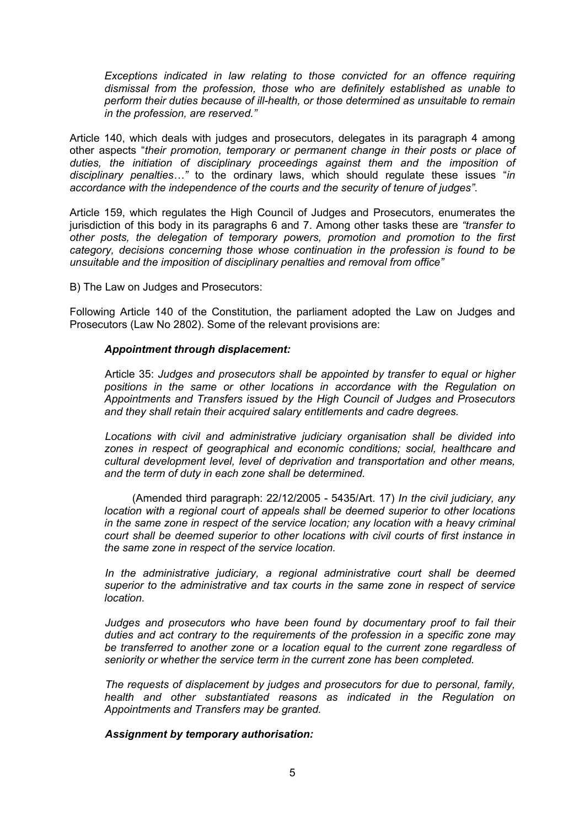*Exceptions indicated in law relating to those convicted for an offence requiring dismissal from the profession, those who are definitely established as unable to perform their duties because of ill-health, or those determined as unsuitable to remain in the profession, are reserved."*

Article 140, which deals with judges and prosecutors, delegates in its paragraph 4 among other aspects "*their promotion, temporary or permanent change in their posts or place of*  duties, the initiation of disciplinary proceedings against them and the imposition of *disciplinary penalties…"* to the ordinary laws, which should regulate these issues "*in accordance with the independence of the courts and the security of tenure of judges"*.

Article 159, which regulates the High Council of Judges and Prosecutors, enumerates the jurisdiction of this body in its paragraphs 6 and 7. Among other tasks these are *"transfer to other posts, the delegation of temporary powers, promotion and promotion to the first category, decisions concerning those whose continuation in the profession is found to be unsuitable and the imposition of disciplinary penalties and removal from office"*

B) The Law on Judges and Prosecutors:

Following Article 140 of the Constitution, the parliament adopted the Law on Judges and Prosecutors (Law No 2802). Some of the relevant provisions are:

#### *Appointment through displacement:*

Article 35: *Judges and prosecutors shall be appointed by transfer to equal or higher positions in the same or other locations in accordance with the Regulation on Appointments and Transfers issued by the High Council of Judges and Prosecutors and they shall retain their acquired salary entitlements and cadre degrees.*

*Locations with civil and administrative judiciary organisation shall be divided into zones in respect of geographical and economic conditions; social, healthcare and cultural development level, level of deprivation and transportation and other means, and the term of duty in each zone shall be determined.*

(Amended third paragraph: 22/12/2005 - 5435/Art. 17) *In the civil judiciary, any location with a regional court of appeals shall be deemed superior to other locations in the same zone in respect of the service location; any location with a heavy criminal court shall be deemed superior to other locations with civil courts of first instance in the same zone in respect of the service location.*

In the administrative judiciary, a regional administrative court shall be deemed *superior to the administrative and tax courts in the same zone in respect of service location.*

*Judges and prosecutors who have been found by documentary proof to fail their duties and act contrary to the requirements of the profession in a specific zone may be transferred to another zone or a location equal to the current zone regardless of seniority or whether the service term in the current zone has been completed.*

*The requests of displacement by judges and prosecutors for due to personal, family, health and other substantiated reasons as indicated in the Regulation on Appointments and Transfers may be granted.*

## *Assignment by temporary authorisation:*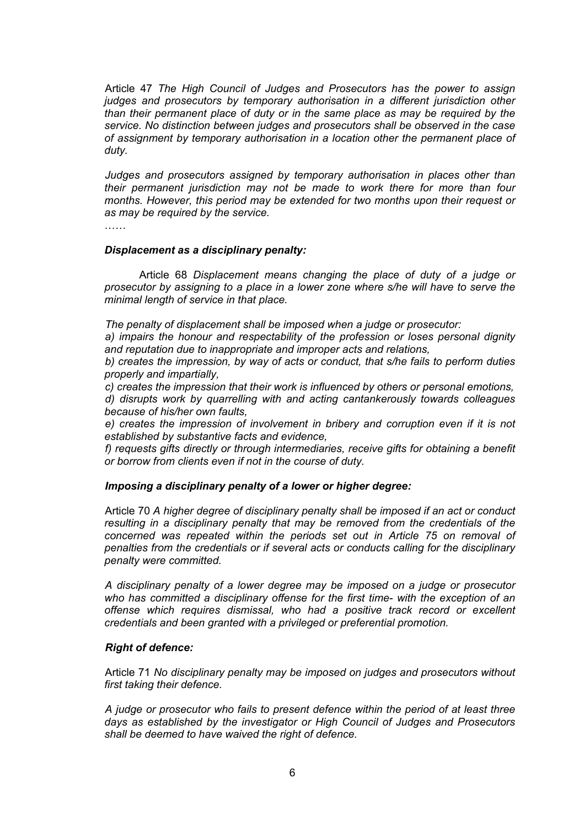Article 47 *The High Council of Judges and Prosecutors has the power to assign judges and prosecutors by temporary authorisation in a different jurisdiction other than their permanent place of duty or in the same place as may be required by the service. No distinction between judges and prosecutors shall be observed in the case of assignment by temporary authorisation in a location other the permanent place of duty.*

*Judges and prosecutors assigned by temporary authorisation in places other than their permanent jurisdiction may not be made to work there for more than four months. However, this period may be extended for two months upon their request or as may be required by the service.*

……

#### *Displacement as a disciplinary penalty:*

Article 68 *Displacement means changing the place of duty of a judge or prosecutor by assigning to a place in a lower zone where s/he will have to serve the minimal length of service in that place.*

*The penalty of displacement shall be imposed when a judge or prosecutor:*

*a) impairs the honour and respectability of the profession or loses personal dignity and reputation due to inappropriate and improper acts and relations,*

*b) creates the impression, by way of acts or conduct, that s/he fails to perform duties properly and impartially,*

*c) creates the impression that their work is influenced by others or personal emotions, d) disrupts work by quarrelling with and acting cantankerously towards colleagues because of his/her own faults,*

*e) creates the impression of involvement in bribery and corruption even if it is not established by substantive facts and evidence,*

f) requests gifts directly or through intermediaries, receive gifts for obtaining a benefit *or borrow from clients even if not in the course of duty.*

#### *Imposing a disciplinary penalty of a lower or higher degree:*

Article 70 *A higher degree of disciplinary penalty shall be imposed if an act or conduct resulting in a disciplinary penalty that may be removed from the credentials of the concerned was repeated within the periods set out in Article 75 on removal of penalties from the credentials or if several acts or conducts calling for the disciplinary penalty were committed.*

*A disciplinary penalty of a lower degree may be imposed on a judge or prosecutor who has committed a disciplinary offense for the first time- with the exception of an offense which requires dismissal, who had a positive track record or excellent credentials and been granted with a privileged or preferential promotion.*

#### *Right of defence:*

Article 71 *No disciplinary penalty may be imposed on judges and prosecutors without first taking their defence.*

*A judge or prosecutor who fails to present defence within the period of at least three days as established by the investigator or High Council of Judges and Prosecutors shall be deemed to have waived the right of defence.*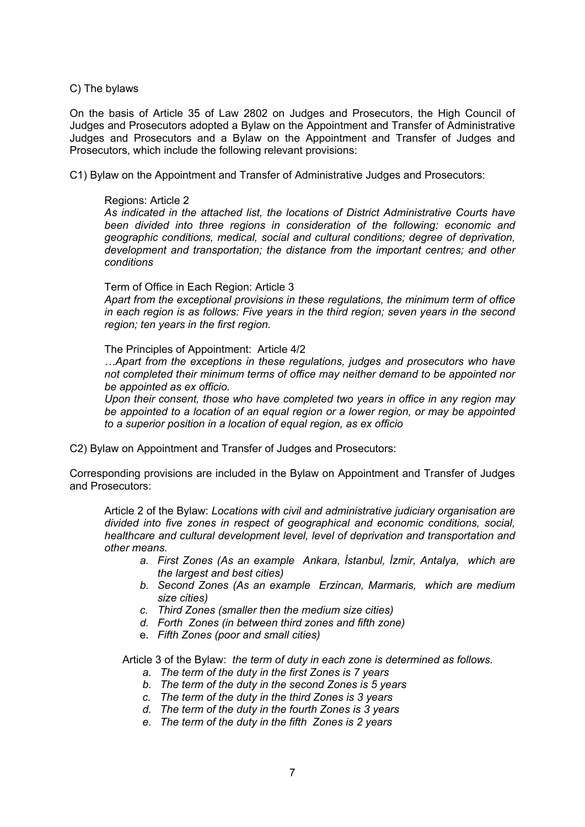#### C) The bylaws

On the basis of Article 35 of Law 2802 on Judges and Prosecutors, the High Council of Judges and Prosecutors adopted a Bylaw on the Appointment and Transfer of Administrative Judges and Prosecutors and a Bylaw on the Appointment and Transfer of Judges and Prosecutors, which include the following relevant provisions:

C1) Bylaw on the Appointment and Transfer of Administrative Judges and Prosecutors:

#### Regions: Article 2

*As indicated in the attached list, the locations of District Administrative Courts have been divided into three regions in consideration of the following: economic and geographic conditions, medical, social and cultural conditions; degree of deprivation, development and transportation; the distance from the important centres; and other conditions*

#### Term of Office in Each Region: Article 3

*Apart from the exceptional provisions in these regulations, the minimum term of office in each region is as follows: Five years in the third region; seven years in the second region; ten years in the first region.*

#### The Principles of Appointment: Article 4/2

*…Apart from the exceptions in these regulations, judges and prosecutors who have not completed their minimum terms of office may neither demand to be appointed nor be appointed as ex officio.*

*Upon their consent, those who have completed two years in office in any region may be appointed to a location of an equal region or a lower region, or may be appointed to a superior position in a location of equal region, as ex officio*

C2) Bylaw on Appointment and Transfer of Judges and Prosecutors:

Corresponding provisions are included in the Bylaw on Appointment and Transfer of Judges and Prosecutors:

Article 2 of the Bylaw: *Locations with civil and administrative judiciary organisation are divided into five zones in respect of geographical and economic conditions, social, healthcare and cultural development level, level of deprivation and transportation and other means.*

- *a. First Zones (As an example Ankara, İstanbul, İzmir, Antalya, which are the largest and best cities)*
- *b. Second Zones (As an example Erzincan, Marmaris, which are medium size cities)*
- *c. Third Zones (smaller then the medium size cities)*
- *d. Forth Zones (in between third zones and fifth zone)*
- e. *Fifth Zones (poor and small cities)*

Article 3 of the Bylaw: *the term of duty in each zone is determined as follows.* 

- *a. The term of the duty in the first Zones is 7 years*
- *b. The term of the duty in the second Zones is 5 years*
- *c. The term of the duty in the third Zones is 3 years*
- *d. The term of the duty in the fourth Zones is 3 years*
- *e. The term of the duty in the fifth Zones is 2 years*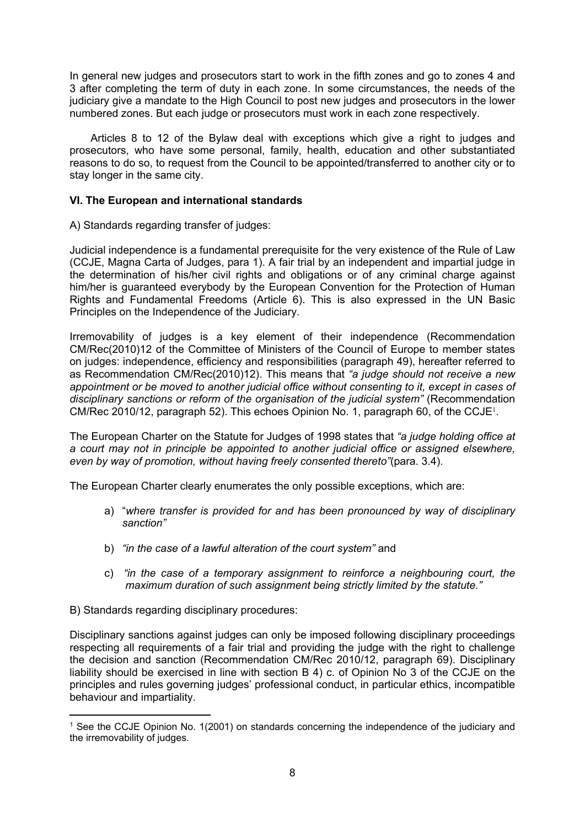In general new judges and prosecutors start to work in the fifth zones and go to zones 4 and 3 after completing the term of duty in each zone. In some circumstances, the needs of the judiciary give a mandate to the High Council to post new judges and prosecutors in the lower numbered zones. But each judge or prosecutors must work in each zone respectively.

 Articles 8 to 12 of the Bylaw deal with exceptions which give a right to judges and prosecutors, who have some personal, family, health, education and other substantiated reasons to do so, to request from the Council to be appointed/transferred to another city or to stay longer in the same city.

## **VI. The European and international standards**

A) Standards regarding transfer of judges:

Judicial independence is a fundamental prerequisite for the very existence of the Rule of Law (CCJE, Magna Carta of Judges, para 1). A fair trial by an independent and impartial judge in the determination of his/her civil rights and obligations or of any criminal charge against him/her is guaranteed everybody by the European Convention for the Protection of Human Rights and Fundamental Freedoms (Article 6). This is also expressed in the UN Basic Principles on the Independence of the Judiciary.

Irremovability of judges is a key element of their independence (Recommendation CM/Rec(2010)12 of the Committee of Ministers of the Council of Europe to member states on judges: independence, efficiency and responsibilities (paragraph 49), hereafter referred to as Recommendation CM/Rec(2010)12). This means that *"a judge should not receive a new appointment or be moved to another judicial office without consenting to it, except in cases of disciplinary sanctions or reform of the organisation of the judicial system"* (Recommendation CM/Rec 2010/12, paragraph 52). This echoes Opinion No. 1, paragraph 60, of the CCJE<sup>1</sup>.

The European Charter on the Statute for Judges of 1998 states that *"a judge holding office at a court may not in principle be appointed to another judicial office or assigned elsewhere, even by way of promotion, without having freely consented thereto"*(para. 3.4).

The European Charter clearly enumerates the only possible exceptions, which are:

- a) "*where transfer is provided for and has been pronounced by way of disciplinary sanction"*
- b) *"in the case of a lawful alteration of the court system"* and
- c) *"in the case of a temporary assignment to reinforce a neighbouring court, the maximum duration of such assignment being strictly limited by the statute."*

B) Standards regarding disciplinary procedures:

Disciplinary sanctions against judges can only be imposed following disciplinary proceedings respecting all requirements of a fair trial and providing the judge with the right to challenge the decision and sanction (Recommendation CM/Rec 2010/12, paragraph 69). Disciplinary liability should be exercised in line with section B 4) c. of Opinion No 3 of the CCJE on the principles and rules governing judges' professional conduct, in particular ethics, incompatible behaviour and impartiality.

<sup>1</sup> See the CCJE Opinion No. 1(2001) on standards concerning the independence of the judiciary and the irremovability of judges.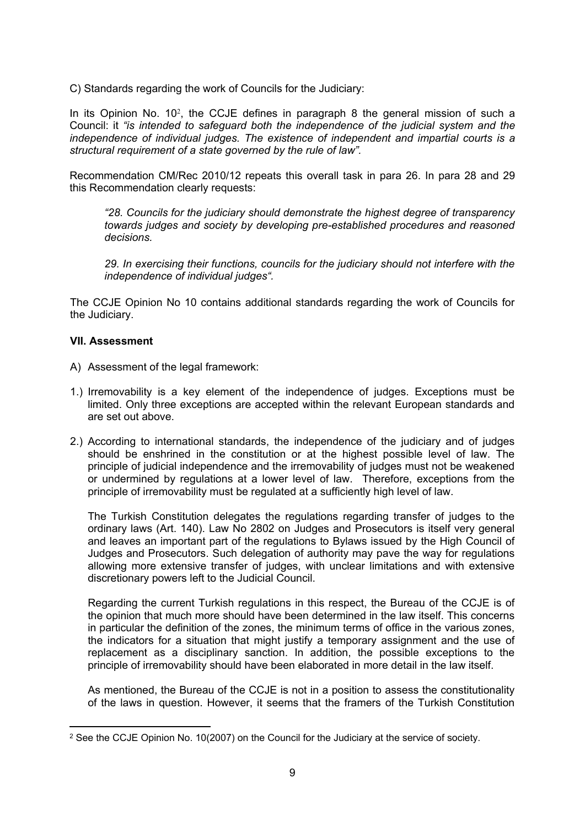C) Standards regarding the work of Councils for the Judiciary:

In its Opinion No. 10<sup>2</sup>, the CCJE defines in paragraph 8 the general mission of such a Council: it *"is intended to safeguard both the independence of the judicial system and the independence of individual judges. The existence of independent and impartial courts is a structural requirement of a state governed by the rule of law".* 

Recommendation CM/Rec 2010/12 repeats this overall task in para 26. In para 28 and 29 this Recommendation clearly requests:

*"28. Councils for the judiciary should demonstrate the highest degree of transparency towards judges and society by developing pre-established procedures and reasoned decisions.* 

*29. In exercising their functions, councils for the judiciary should not interfere with the independence of individual judges".* 

The CCJE Opinion No 10 contains additional standards regarding the work of Councils for the Judiciary.

## **VII. Assessment**

- A) Assessment of the legal framework:
- 1.) Irremovability is a key element of the independence of judges. Exceptions must be limited. Only three exceptions are accepted within the relevant European standards and are set out above.
- 2.) According to international standards, the independence of the judiciary and of judges should be enshrined in the constitution or at the highest possible level of law. The principle of judicial independence and the irremovability of judges must not be weakened or undermined by regulations at a lower level of law. Therefore, exceptions from the principle of irremovability must be regulated at a sufficiently high level of law.

The Turkish Constitution delegates the regulations regarding transfer of judges to the ordinary laws (Art. 140). Law No 2802 on Judges and Prosecutors is itself very general and leaves an important part of the regulations to Bylaws issued by the High Council of Judges and Prosecutors. Such delegation of authority may pave the way for regulations allowing more extensive transfer of judges, with unclear limitations and with extensive discretionary powers left to the Judicial Council.

Regarding the current Turkish regulations in this respect, the Bureau of the CCJE is of the opinion that much more should have been determined in the law itself. This concerns in particular the definition of the zones, the minimum terms of office in the various zones, the indicators for a situation that might justify a temporary assignment and the use of replacement as a disciplinary sanction. In addition, the possible exceptions to the principle of irremovability should have been elaborated in more detail in the law itself.

As mentioned, the Bureau of the CCJE is not in a position to assess the constitutionality of the laws in question. However, it seems that the framers of the Turkish Constitution

<sup>2</sup> See the CCJE Opinion No. 10(2007) on the Council for the Judiciary at the service of society.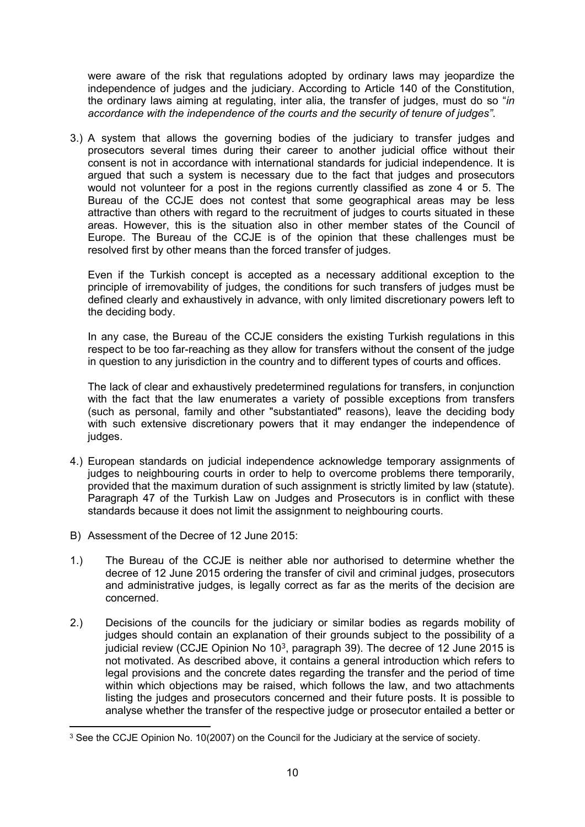were aware of the risk that regulations adopted by ordinary laws may jeopardize the independence of judges and the judiciary. According to Article 140 of the Constitution, the ordinary laws aiming at regulating, inter alia, the transfer of judges, must do so "*in accordance with the independence of the courts and the security of tenure of judges"*.

3.) A system that allows the governing bodies of the judiciary to transfer judges and prosecutors several times during their career to another judicial office without their consent is not in accordance with international standards for judicial independence. It is argued that such a system is necessary due to the fact that judges and prosecutors would not volunteer for a post in the regions currently classified as zone 4 or 5. The Bureau of the CCJE does not contest that some geographical areas may be less attractive than others with regard to the recruitment of judges to courts situated in these areas. However, this is the situation also in other member states of the Council of Europe. The Bureau of the CCJE is of the opinion that these challenges must be resolved first by other means than the forced transfer of judges.

Even if the Turkish concept is accepted as a necessary additional exception to the principle of irremovability of judges, the conditions for such transfers of judges must be defined clearly and exhaustively in advance, with only limited discretionary powers left to the deciding body.

In any case, the Bureau of the CCJE considers the existing Turkish regulations in this respect to be too far-reaching as they allow for transfers without the consent of the judge in question to any jurisdiction in the country and to different types of courts and offices.

The lack of clear and exhaustively predetermined regulations for transfers, in conjunction with the fact that the law enumerates a variety of possible exceptions from transfers (such as personal, family and other "substantiated" reasons), leave the deciding body with such extensive discretionary powers that it may endanger the independence of judges.

- 4.) European standards on judicial independence acknowledge temporary assignments of judges to neighbouring courts in order to help to overcome problems there temporarily, provided that the maximum duration of such assignment is strictly limited by law (statute). Paragraph 47 of the Turkish Law on Judges and Prosecutors is in conflict with these standards because it does not limit the assignment to neighbouring courts.
- B) Assessment of the Decree of 12 June 2015:
- 1.) The Bureau of the CCJE is neither able nor authorised to determine whether the decree of 12 June 2015 ordering the transfer of civil and criminal judges, prosecutors and administrative judges, is legally correct as far as the merits of the decision are concerned.
- 2.) Decisions of the councils for the judiciary or similar bodies as regards mobility of judges should contain an explanation of their grounds subject to the possibility of a judicial review (CCJE Opinion No  $10<sup>3</sup>$ , paragraph 39). The decree of 12 June 2015 is not motivated. As described above, it contains a general introduction which refers to legal provisions and the concrete dates regarding the transfer and the period of time within which objections may be raised, which follows the law, and two attachments listing the judges and prosecutors concerned and their future posts. It is possible to analyse whether the transfer of the respective judge or prosecutor entailed a better or

<sup>&</sup>lt;sup>3</sup> See the CCJE Opinion No. 10(2007) on the Council for the Judiciary at the service of society.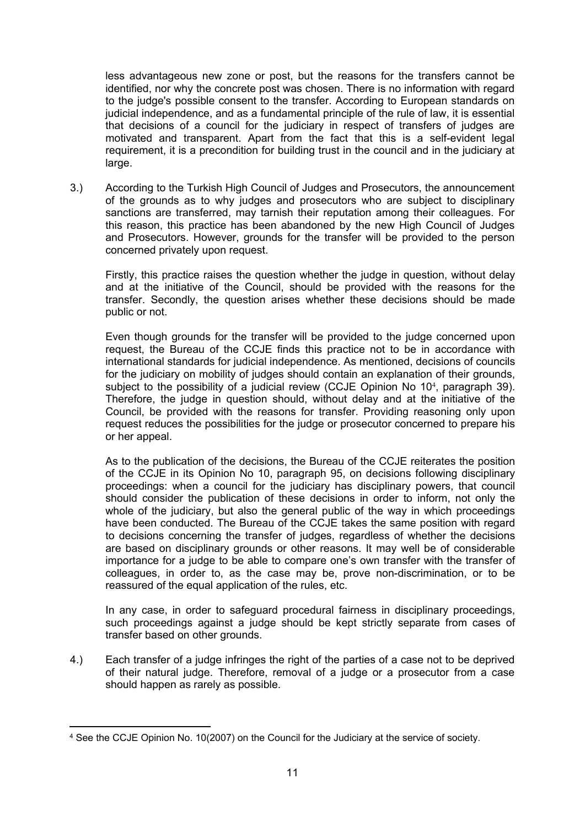less advantageous new zone or post, but the reasons for the transfers cannot be identified, nor why the concrete post was chosen. There is no information with regard to the judge's possible consent to the transfer. According to European standards on judicial independence, and as a fundamental principle of the rule of law, it is essential that decisions of a council for the judiciary in respect of transfers of judges are motivated and transparent. Apart from the fact that this is a self-evident legal requirement, it is a precondition for building trust in the council and in the judiciary at large.

3.) According to the Turkish High Council of Judges and Prosecutors, the announcement of the grounds as to why judges and prosecutors who are subject to disciplinary sanctions are transferred, may tarnish their reputation among their colleagues. For this reason, this practice has been abandoned by the new High Council of Judges and Prosecutors. However, grounds for the transfer will be provided to the person concerned privately upon request.

Firstly, this practice raises the question whether the judge in question, without delay and at the initiative of the Council, should be provided with the reasons for the transfer. Secondly, the question arises whether these decisions should be made public or not.

Even though grounds for the transfer will be provided to the judge concerned upon request, the Bureau of the CCJE finds this practice not to be in accordance with international standards for judicial independence. As mentioned, decisions of councils for the judiciary on mobility of judges should contain an explanation of their grounds, subject to the possibility of a judicial review (CCJE Opinion No 10<sup>4</sup>, paragraph 39). Therefore, the judge in question should, without delay and at the initiative of the Council, be provided with the reasons for transfer. Providing reasoning only upon request reduces the possibilities for the judge or prosecutor concerned to prepare his or her appeal.

As to the publication of the decisions, the Bureau of the CCJE reiterates the position of the CCJE in its Opinion No 10, paragraph 95, on decisions following disciplinary proceedings: when a council for the judiciary has disciplinary powers, that council should consider the publication of these decisions in order to inform, not only the whole of the judiciary, but also the general public of the way in which proceedings have been conducted. The Bureau of the CCJE takes the same position with regard to decisions concerning the transfer of judges, regardless of whether the decisions are based on disciplinary grounds or other reasons. It may well be of considerable importance for a judge to be able to compare one's own transfer with the transfer of colleagues, in order to, as the case may be, prove non-discrimination, or to be reassured of the equal application of the rules, etc.

In any case, in order to safeguard procedural fairness in disciplinary proceedings, such proceedings against a judge should be kept strictly separate from cases of transfer based on other grounds.

4.) Each transfer of a judge infringes the right of the parties of a case not to be deprived of their natural judge. Therefore, removal of a judge or a prosecutor from a case should happen as rarely as possible.

<sup>4</sup> See the CCJE Opinion No. 10(2007) on the Council for the Judiciary at the service of society.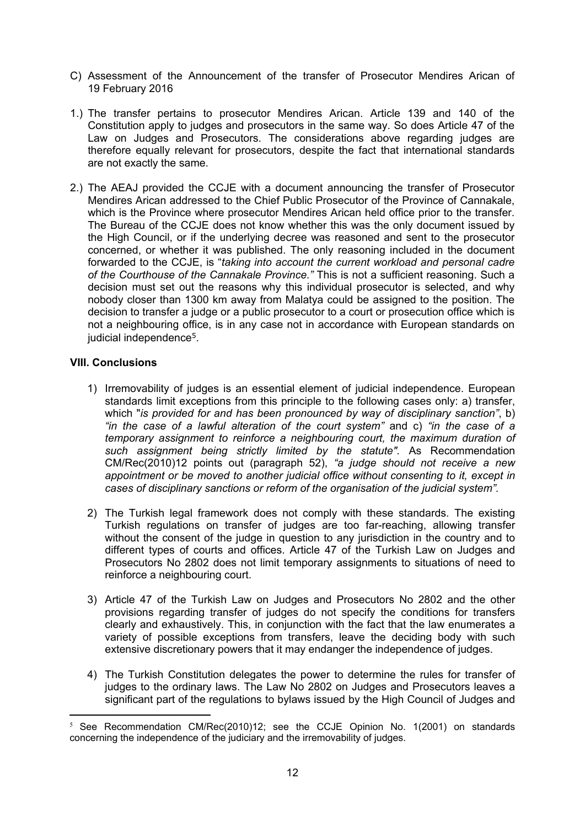- C) Assessment of the Announcement of the transfer of Prosecutor Mendires Arican of 19 February 2016
- 1.) The transfer pertains to prosecutor Mendires Arican. Article 139 and 140 of the Constitution apply to judges and prosecutors in the same way. So does Article 47 of the Law on Judges and Prosecutors. The considerations above regarding judges are therefore equally relevant for prosecutors, despite the fact that international standards are not exactly the same.
- 2.) The AEAJ provided the CCJE with a document announcing the transfer of Prosecutor Mendires Arican addressed to the Chief Public Prosecutor of the Province of Cannakale, which is the Province where prosecutor Mendires Arican held office prior to the transfer. The Bureau of the CCJE does not know whether this was the only document issued by the High Council, or if the underlying decree was reasoned and sent to the prosecutor concerned, or whether it was published. The only reasoning included in the document forwarded to the CCJE, is "*taking into account the current workload and personal cadre of the Courthouse of the Cannakale Province."* This is not a sufficient reasoning. Such a decision must set out the reasons why this individual prosecutor is selected, and why nobody closer than 1300 km away from Malatya could be assigned to the position. The decision to transfer a judge or a public prosecutor to a court or prosecution office which is not a neighbouring office, is in any case not in accordance with European standards on judicial independence<sup>5</sup>.

## **VIII. Conclusions**

- 1) Irremovability of judges is an essential element of judicial independence. European standards limit exceptions from this principle to the following cases only: a) transfer, which "*is provided for and has been pronounced by way of disciplinary sanction"*, b) *"in the case of a lawful alteration of the court system"* and c) *"in the case of a temporary assignment to reinforce a neighbouring court, the maximum duration of such assignment being strictly limited by the statute".* As Recommendation CM/Rec(2010)12 points out (paragraph 52), *"a judge should not receive a new appointment or be moved to another judicial office without consenting to it, except in cases of disciplinary sanctions or reform of the organisation of the judicial system".*
- 2) The Turkish legal framework does not comply with these standards. The existing Turkish regulations on transfer of judges are too far-reaching, allowing transfer without the consent of the judge in question to any jurisdiction in the country and to different types of courts and offices. Article 47 of the Turkish Law on Judges and Prosecutors No 2802 does not limit temporary assignments to situations of need to reinforce a neighbouring court.
- 3) Article 47 of the Turkish Law on Judges and Prosecutors No 2802 and the other provisions regarding transfer of judges do not specify the conditions for transfers clearly and exhaustively. This, in conjunction with the fact that the law enumerates a variety of possible exceptions from transfers, leave the deciding body with such extensive discretionary powers that it may endanger the independence of judges.
- 4) The Turkish Constitution delegates the power to determine the rules for transfer of judges to the ordinary laws. The Law No 2802 on Judges and Prosecutors leaves a significant part of the regulations to bylaws issued by the High Council of Judges and

 $5$  See Recommendation CM/Rec(2010)12; see the CCJE Opinion No. 1(2001) on standards concerning the independence of the judiciary and the irremovability of judges.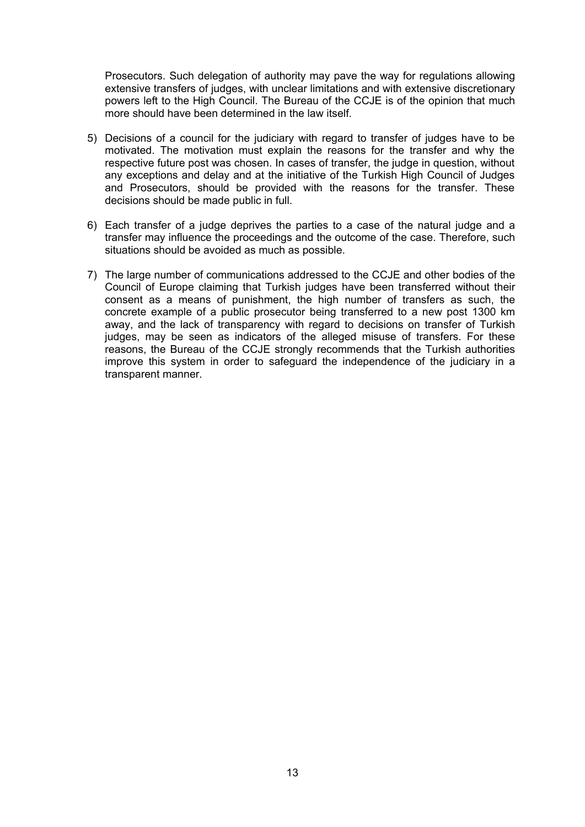Prosecutors. Such delegation of authority may pave the way for regulations allowing extensive transfers of judges, with unclear limitations and with extensive discretionary powers left to the High Council. The Bureau of the CCJE is of the opinion that much more should have been determined in the law itself.

- 5) Decisions of a council for the judiciary with regard to transfer of judges have to be motivated. The motivation must explain the reasons for the transfer and why the respective future post was chosen. In cases of transfer, the judge in question, without any exceptions and delay and at the initiative of the Turkish High Council of Judges and Prosecutors, should be provided with the reasons for the transfer. These decisions should be made public in full.
- 6) Each transfer of a judge deprives the parties to a case of the natural judge and a transfer may influence the proceedings and the outcome of the case. Therefore, such situations should be avoided as much as possible.
- 7) The large number of communications addressed to the CCJE and other bodies of the Council of Europe claiming that Turkish judges have been transferred without their consent as a means of punishment, the high number of transfers as such, the concrete example of a public prosecutor being transferred to a new post 1300 km away, and the lack of transparency with regard to decisions on transfer of Turkish judges, may be seen as indicators of the alleged misuse of transfers. For these reasons, the Bureau of the CCJE strongly recommends that the Turkish authorities improve this system in order to safeguard the independence of the judiciary in a transparent manner.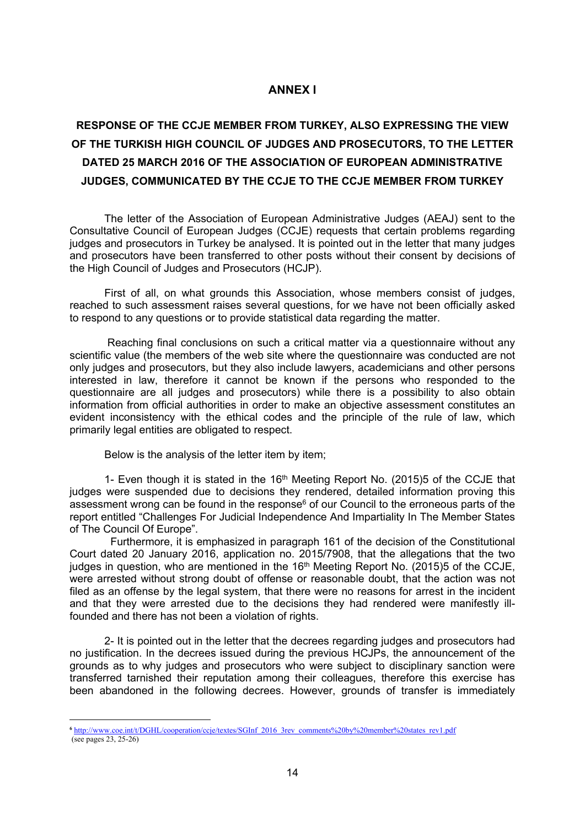## **ANNEX I**

# **RESPONSE OF THE CCJE MEMBER FROM TURKEY, ALSO EXPRESSING THE VIEW OF THE TURKISH HIGH COUNCIL OF JUDGES AND PROSECUTORS, TO THE LETTER DATED 25 MARCH 2016 OF THE ASSOCIATION OF EUROPEAN ADMINISTRATIVE JUDGES, COMMUNICATED BY THE CCJE TO THE CCJE MEMBER FROM TURKEY**

The letter of the Association of European Administrative Judges (AEAJ) sent to the Consultative Council of European Judges (CCJE) requests that certain problems regarding judges and prosecutors in Turkey be analysed. It is pointed out in the letter that many judges and prosecutors have been transferred to other posts without their consent by decisions of the High Council of Judges and Prosecutors (HCJP).

First of all, on what grounds this Association, whose members consist of judges, reached to such assessment raises several questions, for we have not been officially asked to respond to any questions or to provide statistical data regarding the matter.

 Reaching final conclusions on such a critical matter via a questionnaire without any scientific value (the members of the web site where the questionnaire was conducted are not only judges and prosecutors, but they also include lawyers, academicians and other persons interested in law, therefore it cannot be known if the persons who responded to the questionnaire are all judges and prosecutors) while there is a possibility to also obtain information from official authorities in order to make an objective assessment constitutes an evident inconsistency with the ethical codes and the principle of the rule of law, which primarily legal entities are obligated to respect.

Below is the analysis of the letter item by item;

1- Even though it is stated in the  $16<sup>th</sup>$  Meeting Report No. (2015)5 of the CCJE that judges were suspended due to decisions they rendered, detailed information proving this assessment wrong can be found in the response<sup>6</sup> of our Council to the erroneous parts of the report entitled "Challenges For Judicial Independence And Impartiality In The Member States of The Council Of Europe".

 Furthermore, it is emphasized in paragraph 161 of the decision of the Constitutional Court dated 20 January 2016, application no. 2015/7908, that the allegations that the two judges in question, who are mentioned in the  $16<sup>th</sup>$  Meeting Report No. (2015)5 of the CCJE, were arrested without strong doubt of offense or reasonable doubt, that the action was not filed as an offense by the legal system, that there were no reasons for arrest in the incident and that they were arrested due to the decisions they had rendered were manifestly illfounded and there has not been a violation of rights.

2- It is pointed out in the letter that the decrees regarding judges and prosecutors had no justification. In the decrees issued during the previous HCJPs, the announcement of the grounds as to why judges and prosecutors who were subject to disciplinary sanction were transferred tarnished their reputation among their colleagues, therefore this exercise has been abandoned in the following decrees. However, grounds of transfer is immediately

**<sup>6</sup>** [http://www.coe.int/t/DGHL/cooperation/ccje/textes/SGInf\\_2016\\_3rev\\_comments%20by%20member%20states\\_rev1.pdf](http://www.coe.int/t/DGHL/cooperation/ccje/textes/SGInf_2016_3rev_comments%20by%20member%20states_rev1.pdf) (see pages 23, 25-26)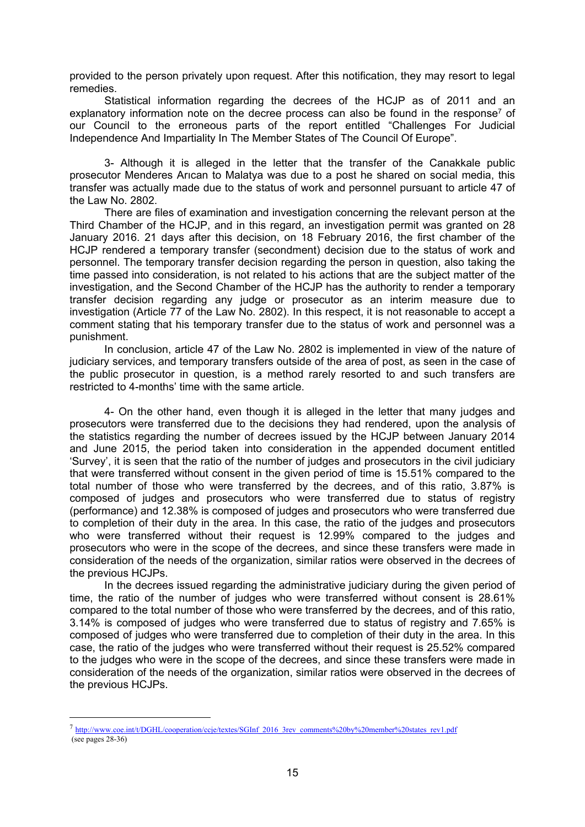provided to the person privately upon request. After this notification, they may resort to legal remedies.

Statistical information regarding the decrees of the HCJP as of 2011 and an explanatory information note on the decree process can also be found in the response<sup>7</sup> of our Council to the erroneous parts of the report entitled "Challenges For Judicial Independence And Impartiality In The Member States of The Council Of Europe".

3- Although it is alleged in the letter that the transfer of the Canakkale public prosecutor Menderes Arıcan to Malatya was due to a post he shared on social media, this transfer was actually made due to the status of work and personnel pursuant to article 47 of the Law No. 2802.

There are files of examination and investigation concerning the relevant person at the Third Chamber of the HCJP, and in this regard, an investigation permit was granted on 28 January 2016. 21 days after this decision, on 18 February 2016, the first chamber of the HCJP rendered a temporary transfer (secondment) decision due to the status of work and personnel. The temporary transfer decision regarding the person in question, also taking the time passed into consideration, is not related to his actions that are the subject matter of the investigation, and the Second Chamber of the HCJP has the authority to render a temporary transfer decision regarding any judge or prosecutor as an interim measure due to investigation (Article 77 of the Law No. 2802). In this respect, it is not reasonable to accept a comment stating that his temporary transfer due to the status of work and personnel was a punishment.

In conclusion, article 47 of the Law No. 2802 is implemented in view of the nature of judiciary services, and temporary transfers outside of the area of post, as seen in the case of the public prosecutor in question, is a method rarely resorted to and such transfers are restricted to 4-months' time with the same article.

4- On the other hand, even though it is alleged in the letter that many judges and prosecutors were transferred due to the decisions they had rendered, upon the analysis of the statistics regarding the number of decrees issued by the HCJP between January 2014 and June 2015, the period taken into consideration in the appended document entitled 'Survey', it is seen that the ratio of the number of judges and prosecutors in the civil judiciary that were transferred without consent in the given period of time is 15.51% compared to the total number of those who were transferred by the decrees, and of this ratio, 3.87% is composed of judges and prosecutors who were transferred due to status of registry (performance) and 12.38% is composed of judges and prosecutors who were transferred due to completion of their duty in the area. In this case, the ratio of the judges and prosecutors who were transferred without their request is 12.99% compared to the judges and prosecutors who were in the scope of the decrees, and since these transfers were made in consideration of the needs of the organization, similar ratios were observed in the decrees of the previous HCJPs.

In the decrees issued regarding the administrative judiciary during the given period of time, the ratio of the number of judges who were transferred without consent is 28.61% compared to the total number of those who were transferred by the decrees, and of this ratio, 3.14% is composed of judges who were transferred due to status of registry and 7.65% is composed of judges who were transferred due to completion of their duty in the area. In this case, the ratio of the judges who were transferred without their request is 25.52% compared to the judges who were in the scope of the decrees, and since these transfers were made in consideration of the needs of the organization, similar ratios were observed in the decrees of the previous HCJPs.

<sup>7</sup> [http://www.coe.int/t/DGHL/cooperation/ccje/textes/SGInf\\_2016\\_3rev\\_comments%20by%20member%20states\\_rev1.pdf](http://www.coe.int/t/DGHL/cooperation/ccje/textes/SGInf_2016_3rev_comments%20by%20member%20states_rev1.pdf) (see pages 28-36)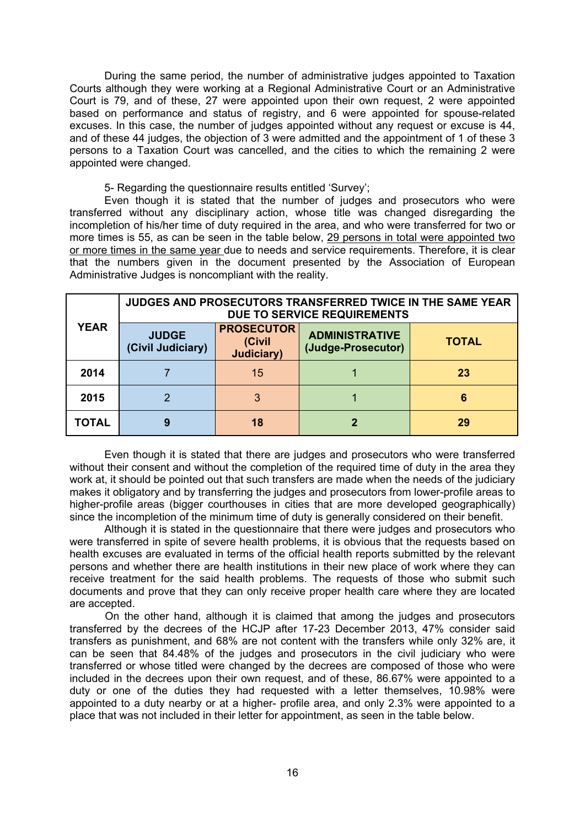During the same period, the number of administrative judges appointed to Taxation Courts although they were working at a Regional Administrative Court or an Administrative Court is 79, and of these, 27 were appointed upon their own request, 2 were appointed based on performance and status of registry, and 6 were appointed for spouse-related excuses. In this case, the number of judges appointed without any request or excuse is 44, and of these 44 judges, the objection of 3 were admitted and the appointment of 1 of these 3 persons to a Taxation Court was cancelled, and the cities to which the remaining 2 were appointed were changed.

5- Regarding the questionnaire results entitled 'Survey';

Even though it is stated that the number of judges and prosecutors who were transferred without any disciplinary action, whose title was changed disregarding the incompletion of his/her time of duty required in the area, and who were transferred for two or more times is 55, as can be seen in the table below, 29 persons in total were appointed two or more times in the same year due to needs and service requirements. Therefore, it is clear that the numbers given in the document presented by the Association of European Administrative Judges is noncompliant with the reality.

| <b>YEAR</b> | JUDGES AND PROSECUTORS TRANSFERRED TWICE IN THE SAME YEAR<br>DUE TO SERVICE REQUIREMENTS |                                                   |                                             |              |  |  |  |  |  |  |
|-------------|------------------------------------------------------------------------------------------|---------------------------------------------------|---------------------------------------------|--------------|--|--|--|--|--|--|
|             | <b>JUDGE</b><br>(Civil Judiciary)                                                        | <b>PROSECUTOR</b><br>(Civil<br><b>Judiciary</b> ) | <b>ADMINISTRATIVE</b><br>(Judge-Prosecutor) | <b>TOTAL</b> |  |  |  |  |  |  |
| 2014        |                                                                                          | 15                                                |                                             | 23           |  |  |  |  |  |  |
| 2015        |                                                                                          | 3                                                 |                                             | 6            |  |  |  |  |  |  |
| TOTAL       | 9                                                                                        | 18                                                |                                             | 29           |  |  |  |  |  |  |

Even though it is stated that there are judges and prosecutors who were transferred without their consent and without the completion of the required time of duty in the area they work at, it should be pointed out that such transfers are made when the needs of the judiciary makes it obligatory and by transferring the judges and prosecutors from lower-profile areas to higher-profile areas (bigger courthouses in cities that are more developed geographically) since the incompletion of the minimum time of duty is generally considered on their benefit.

Although it is stated in the questionnaire that there were judges and prosecutors who were transferred in spite of severe health problems, it is obvious that the requests based on health excuses are evaluated in terms of the official health reports submitted by the relevant persons and whether there are health institutions in their new place of work where they can receive treatment for the said health problems. The requests of those who submit such documents and prove that they can only receive proper health care where they are located are accepted.

On the other hand, although it is claimed that among the judges and prosecutors transferred by the decrees of the HCJP after 17-23 December 2013, 47% consider said transfers as punishment, and 68% are not content with the transfers while only 32% are, it can be seen that 84.48% of the judges and prosecutors in the civil judiciary who were transferred or whose titled were changed by the decrees are composed of those who were included in the decrees upon their own request, and of these, 86.67% were appointed to a duty or one of the duties they had requested with a letter themselves, 10.98% were appointed to a duty nearby or at a higher- profile area, and only 2.3% were appointed to a place that was not included in their letter for appointment, as seen in the table below.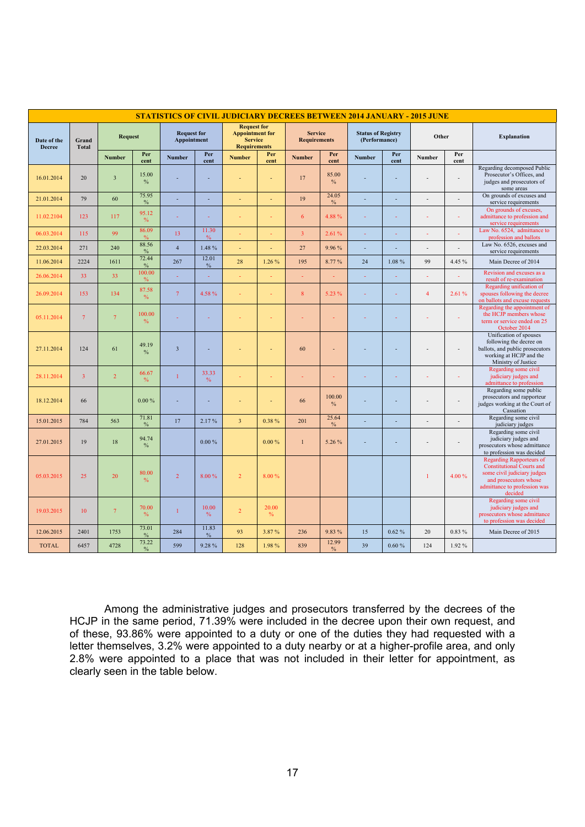| <b>STATISTICS OF CIVIL JUDICIARY DECREES BETWEEN 2014 JANUARY - 2015 JUNE</b> |                       |                         |                         |                                   |               |                                                                                       |               |                                       |                        |                                            |                          |                |                |                                                                                                                                                                        |
|-------------------------------------------------------------------------------|-----------------------|-------------------------|-------------------------|-----------------------------------|---------------|---------------------------------------------------------------------------------------|---------------|---------------------------------------|------------------------|--------------------------------------------|--------------------------|----------------|----------------|------------------------------------------------------------------------------------------------------------------------------------------------------------------------|
| Date of the<br><b>Decree</b>                                                  | Grand<br><b>Total</b> | <b>Request</b>          |                         | <b>Request for</b><br>Appointment |               | <b>Request for</b><br><b>Appointment for</b><br><b>Service</b><br><b>Requirements</b> |               | <b>Service</b><br><b>Requirements</b> |                        | <b>Status of Registry</b><br>(Performance) |                          | Other          |                | <b>Explanation</b>                                                                                                                                                     |
|                                                                               |                       | <b>Number</b>           | Per<br>cent             | <b>Number</b>                     | Per<br>cent   | <b>Number</b>                                                                         | Per<br>cent   | <b>Number</b>                         | Per<br>cent            | <b>Number</b>                              | Per<br>cent              | Number         | Per<br>cent    |                                                                                                                                                                        |
| 16.01.2014                                                                    | 20                    | $\overline{\mathbf{3}}$ | 15.00<br>$\%$           |                                   |               |                                                                                       | ÷,            | 17                                    | 85.00<br>$\%$          |                                            | $\overline{a}$           |                | $\overline{a}$ | Regarding decomposed Public<br>Prosecutor's Offices, and<br>judges and prosecutors of<br>some areas                                                                    |
| 21.01.2014                                                                    | 79                    | 60                      | 75.95<br>$\%$           |                                   | ÷             |                                                                                       | ÷,            | 19                                    | 24.05<br>$\%$          | ÷,                                         | $\overline{\phantom{a}}$ |                | L,             | On grounds of excuses and<br>service requirements                                                                                                                      |
| 11.02.2104                                                                    | 123                   | 117                     | 95.12<br>$\%$           |                                   |               |                                                                                       | ÷,            | 6                                     | 4.88%                  |                                            | ÷,                       |                | ÷,             | On grounds of excuses,<br>admittance to profession and<br>service requirements                                                                                         |
| 06.03.2014                                                                    | 115                   | 99                      | 86.09<br>$\frac{0}{6}$  | 13                                | 11.30<br>$\%$ |                                                                                       |               | $\overline{3}$                        | 2.61%                  |                                            |                          |                |                | Law No. 6524, admittance to<br>profession and ballots                                                                                                                  |
| 22.03.2014                                                                    | 271                   | 240                     | 88.56<br>$\%$           | $\overline{4}$                    | 1.48%         | ÷.                                                                                    | ÷,            | 27                                    | 9.96%                  | ÷,                                         | ÷,                       | $\sim$         | $\overline{a}$ | Law No. 6526, excuses and<br>service requirements                                                                                                                      |
| 11.06.2014                                                                    | 2224                  | 1611                    | 72.44<br>$\%$           | 267                               | 12.01<br>$\%$ | 28                                                                                    | 1.26%         | 195                                   | 8.77%                  | 24                                         | 1.08%                    | 99             | 4.45 %         | Main Decree of 2014                                                                                                                                                    |
| 26.06.2014                                                                    | 33                    | 33                      | 100.00<br>$\%$          | ÷                                 | ÷,            |                                                                                       | ٠             | ÷,                                    |                        |                                            | ÷,                       |                | ÷              | Revision and excuses as a<br>result of re-examination                                                                                                                  |
| 26.09.2014                                                                    | 153                   | 134                     | 87.58<br>$\%$           | $\tau$                            | 4.58%         |                                                                                       | ÷             | 8                                     | 5.23 %                 | ÷                                          | ÷                        | $\overline{4}$ | 2.61%          | Regarding unification of<br>spouses following the decree<br>on ballots and excuse requests                                                                             |
| 05.11.2014                                                                    | $7\phantom{.0}$       | $7\phantom{.0}$         | 100.00<br>$\frac{0}{0}$ |                                   |               |                                                                                       |               |                                       |                        |                                            | ÷                        |                | ÷              | Regarding the appointment of<br>the HCJP members whose<br>term or service ended on 25<br>October 2014                                                                  |
| 27.11.2014                                                                    | 124                   | 61                      | 49.19<br>$\%$           | $\overline{\mathbf{3}}$           |               |                                                                                       |               | 60                                    |                        |                                            | $\overline{\phantom{a}}$ |                | $\overline{a}$ | Unification of spouses<br>following the decree on<br>ballots, and public prosecutors<br>working at HCJP and the<br>Ministry of Justice                                 |
| 28.11.2014                                                                    | 3                     | $\overline{2}$          | 66.67<br>$\%$           | $\mathbf{1}$                      | 33.33<br>$\%$ |                                                                                       | ÷,            |                                       |                        |                                            | ÷,                       |                | L,             | Regarding some civil<br>judiciary judges and<br>admittance to profession                                                                                               |
| 18.12.2014                                                                    | 66                    |                         | 0.00%                   |                                   |               |                                                                                       |               | 66                                    | 100.00<br>$\%$         |                                            | $\overline{a}$           |                | $\overline{a}$ | Regarding some public<br>prosecutors and rapporteur<br>judges working at the Court of<br>Cassation                                                                     |
| 15.01.2015                                                                    | 784                   | 563                     | 71.81<br>$\%$           | 17                                | 2.17%         | $\overline{3}$                                                                        | 0.38%         | 201                                   | 25.64<br>$\%$          |                                            | ÷,                       |                | $\overline{a}$ | Regarding some civil<br>judiciary judges                                                                                                                               |
| 27.01.2015                                                                    | 19                    | 18                      | 94.74<br>$\%$           |                                   | 0.00%         |                                                                                       | 0.00%         | $\mathbf{1}$                          | 5.26 %                 |                                            | $\overline{a}$           |                | $\overline{a}$ | Regarding some civil<br>judiciary judges and<br>prosecutors whose admittance<br>to profession was decided                                                              |
| 05.03.2015                                                                    | 25                    | 20                      | 80.00<br>$\%$           | $\overline{2}$                    | 8.00 %        | $\overline{2}$                                                                        | 8.00%         |                                       |                        |                                            |                          | $\mathbf{1}$   | 4.00%          | <b>Regarding Rapporteurs of</b><br><b>Constitutional Courts and</b><br>some civil judiciary judges<br>and prosecutors whose<br>admittance to profession was<br>decided |
| 19.03.2015                                                                    | 10                    | $\tau$                  | 70.00<br>%              | $\mathbf{1}$                      | 10.00<br>$\%$ | $\overline{2}$                                                                        | 20.00<br>$\%$ |                                       |                        |                                            |                          |                |                | Regarding some civil<br>judiciary judges and<br>prosecutors whose admittance<br>to profession was decided                                                              |
| 12.06.2015                                                                    | 2401                  | 1753                    | 73.01<br>$\%$           | 284                               | 11.83<br>$\%$ | 93                                                                                    | 3.87%         | 236                                   | 9.83%                  | 15                                         | 0.62%                    | 20             | $0.83\%$       | Main Decree of 2015                                                                                                                                                    |
| <b>TOTAL</b>                                                                  | 6457                  | 4728                    | 73.22<br>$\frac{0}{0}$  | 599                               | 9.28%         | 128                                                                                   | 1.98%         | 839                                   | 12.99<br>$\frac{0}{0}$ | 39                                         | 0.60%                    | 124            | 1.92%          |                                                                                                                                                                        |

Among the administrative judges and prosecutors transferred by the decrees of the HCJP in the same period, 71.39% were included in the decree upon their own request, and of these, 93.86% were appointed to a duty or one of the duties they had requested with a letter themselves, 3.2% were appointed to a duty nearby or at a higher-profile area, and only 2.8% were appointed to a place that was not included in their letter for appointment, as clearly seen in the table below.